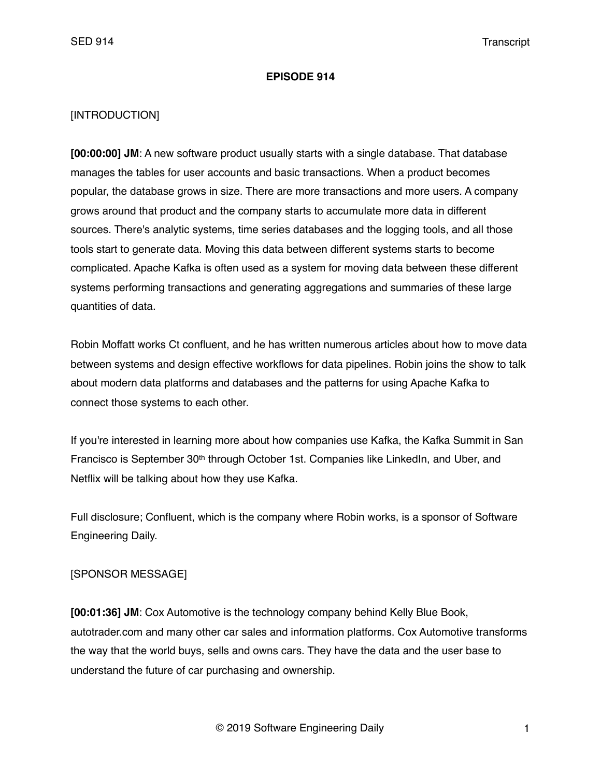### **EPISODE 914**

## [INTRODUCTION]

**[00:00:00] JM**: A new software product usually starts with a single database. That database manages the tables for user accounts and basic transactions. When a product becomes popular, the database grows in size. There are more transactions and more users. A company grows around that product and the company starts to accumulate more data in different sources. There's analytic systems, time series databases and the logging tools, and all those tools start to generate data. Moving this data between different systems starts to become complicated. Apache Kafka is often used as a system for moving data between these different systems performing transactions and generating aggregations and summaries of these large quantities of data.

Robin Moffatt works Ct confluent, and he has written numerous articles about how to move data between systems and design effective workflows for data pipelines. Robin joins the show to talk about modern data platforms and databases and the patterns for using Apache Kafka to connect those systems to each other.

If you're interested in learning more about how companies use Kafka, the Kafka Summit in San Francisco is September 30<sup>th</sup> through October 1st. Companies like LinkedIn, and Uber, and Netflix will be talking about how they use Kafka.

Full disclosure; Confluent, which is the company where Robin works, is a sponsor of Software Engineering Daily.

#### [SPONSOR MESSAGE]

**[00:01:36] JM**: Cox Automotive is the technology company behind Kelly Blue Book, autotrader.com and many other car sales and information platforms. Cox Automotive transforms the way that the world buys, sells and owns cars. They have the data and the user base to understand the future of car purchasing and ownership.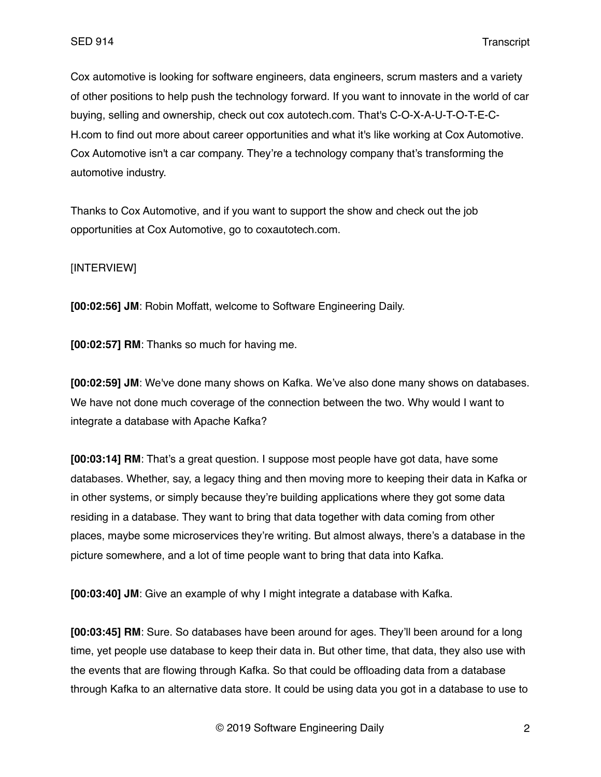Cox automotive is looking for software engineers, data engineers, scrum masters and a variety of other positions to help push the technology forward. If you want to innovate in the world of car buying, selling and ownership, check out cox autotech.com. That's C-O-X-A-U-T-O-T-E-C-H.com to find out more about career opportunities and what it's like working at Cox Automotive. Cox Automotive isn't a car company. They're a technology company that's transforming the automotive industry.

Thanks to Cox Automotive, and if you want to support the show and check out the job opportunities at Cox Automotive, go to coxautotech.com.

### [INTERVIEW]

**[00:02:56] JM**: Robin Moffatt, welcome to Software Engineering Daily.

**[00:02:57] RM**: Thanks so much for having me.

**[00:02:59] JM**: We've done many shows on Kafka. We've also done many shows on databases. We have not done much coverage of the connection between the two. Why would I want to integrate a database with Apache Kafka?

**[00:03:14] RM**: That's a great question. I suppose most people have got data, have some databases. Whether, say, a legacy thing and then moving more to keeping their data in Kafka or in other systems, or simply because they're building applications where they got some data residing in a database. They want to bring that data together with data coming from other places, maybe some microservices they're writing. But almost always, there's a database in the picture somewhere, and a lot of time people want to bring that data into Kafka.

**[00:03:40] JM**: Give an example of why I might integrate a database with Kafka.

**[00:03:45] RM**: Sure. So databases have been around for ages. They'll been around for a long time, yet people use database to keep their data in. But other time, that data, they also use with the events that are flowing through Kafka. So that could be offloading data from a database through Kafka to an alternative data store. It could be using data you got in a database to use to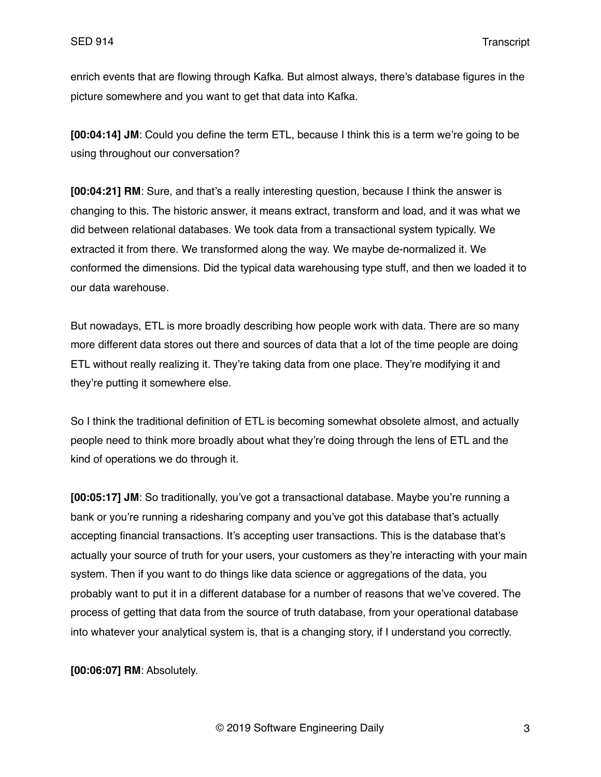enrich events that are flowing through Kafka. But almost always, there's database figures in the picture somewhere and you want to get that data into Kafka.

**[00:04:14] JM**: Could you define the term ETL, because I think this is a term we're going to be using throughout our conversation?

**[00:04:21] RM**: Sure, and that's a really interesting question, because I think the answer is changing to this. The historic answer, it means extract, transform and load, and it was what we did between relational databases. We took data from a transactional system typically. We extracted it from there. We transformed along the way. We maybe de-normalized it. We conformed the dimensions. Did the typical data warehousing type stuff, and then we loaded it to our data warehouse.

But nowadays, ETL is more broadly describing how people work with data. There are so many more different data stores out there and sources of data that a lot of the time people are doing ETL without really realizing it. They're taking data from one place. They're modifying it and they're putting it somewhere else.

So I think the traditional definition of ETL is becoming somewhat obsolete almost, and actually people need to think more broadly about what they're doing through the lens of ETL and the kind of operations we do through it.

**[00:05:17] JM**: So traditionally, you've got a transactional database. Maybe you're running a bank or you're running a ridesharing company and you've got this database that's actually accepting financial transactions. It's accepting user transactions. This is the database that's actually your source of truth for your users, your customers as they're interacting with your main system. Then if you want to do things like data science or aggregations of the data, you probably want to put it in a different database for a number of reasons that we've covered. The process of getting that data from the source of truth database, from your operational database into whatever your analytical system is, that is a changing story, if I understand you correctly.

**[00:06:07] RM**: Absolutely.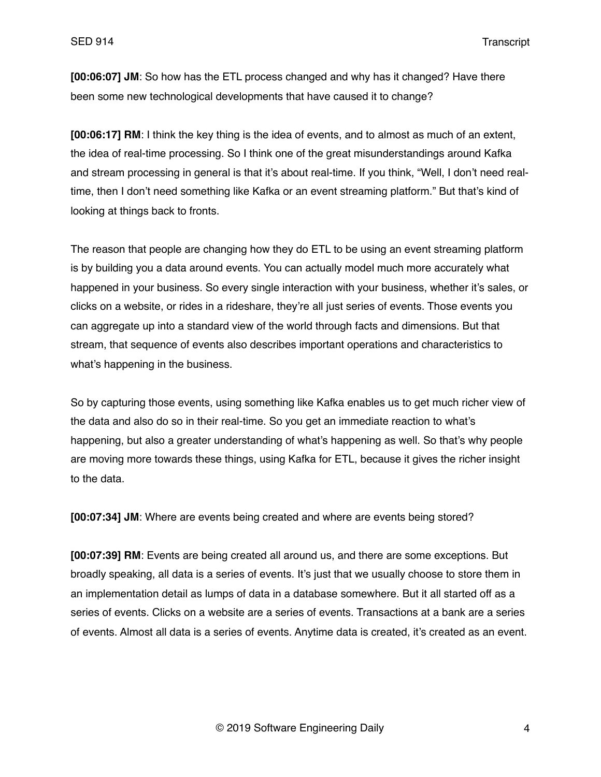**[00:06:07] JM**: So how has the ETL process changed and why has it changed? Have there been some new technological developments that have caused it to change?

**[00:06:17] RM**: I think the key thing is the idea of events, and to almost as much of an extent, the idea of real-time processing. So I think one of the great misunderstandings around Kafka and stream processing in general is that it's about real-time. If you think, "Well, I don't need realtime, then I don't need something like Kafka or an event streaming platform." But that's kind of looking at things back to fronts.

The reason that people are changing how they do ETL to be using an event streaming platform is by building you a data around events. You can actually model much more accurately what happened in your business. So every single interaction with your business, whether it's sales, or clicks on a website, or rides in a rideshare, they're all just series of events. Those events you can aggregate up into a standard view of the world through facts and dimensions. But that stream, that sequence of events also describes important operations and characteristics to what's happening in the business.

So by capturing those events, using something like Kafka enables us to get much richer view of the data and also do so in their real-time. So you get an immediate reaction to what's happening, but also a greater understanding of what's happening as well. So that's why people are moving more towards these things, using Kafka for ETL, because it gives the richer insight to the data.

**[00:07:34] JM**: Where are events being created and where are events being stored?

**[00:07:39] RM**: Events are being created all around us, and there are some exceptions. But broadly speaking, all data is a series of events. It's just that we usually choose to store them in an implementation detail as lumps of data in a database somewhere. But it all started off as a series of events. Clicks on a website are a series of events. Transactions at a bank are a series of events. Almost all data is a series of events. Anytime data is created, it's created as an event.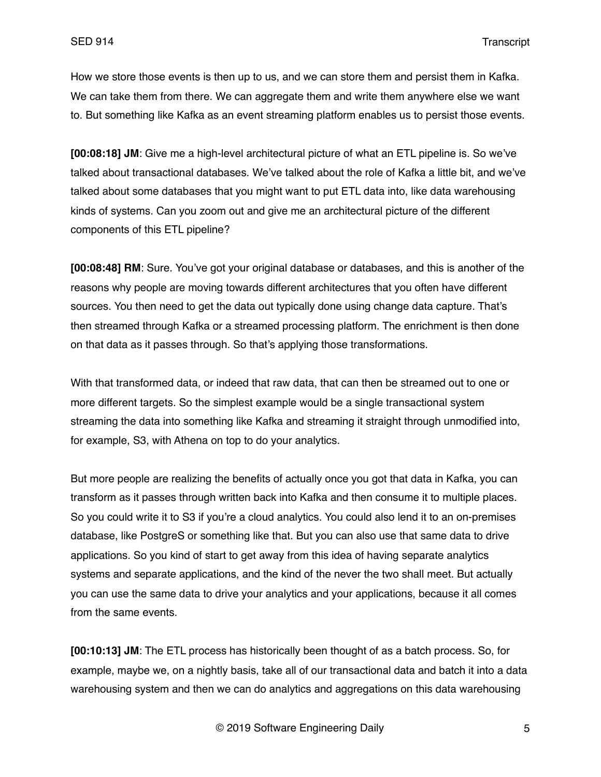How we store those events is then up to us, and we can store them and persist them in Kafka. We can take them from there. We can aggregate them and write them anywhere else we want to. But something like Kafka as an event streaming platform enables us to persist those events.

**[00:08:18] JM**: Give me a high-level architectural picture of what an ETL pipeline is. So we've talked about transactional databases. We've talked about the role of Kafka a little bit, and we've talked about some databases that you might want to put ETL data into, like data warehousing kinds of systems. Can you zoom out and give me an architectural picture of the different components of this ETL pipeline?

**[00:08:48] RM**: Sure. You've got your original database or databases, and this is another of the reasons why people are moving towards different architectures that you often have different sources. You then need to get the data out typically done using change data capture. That's then streamed through Kafka or a streamed processing platform. The enrichment is then done on that data as it passes through. So that's applying those transformations.

With that transformed data, or indeed that raw data, that can then be streamed out to one or more different targets. So the simplest example would be a single transactional system streaming the data into something like Kafka and streaming it straight through unmodified into, for example, S3, with Athena on top to do your analytics.

But more people are realizing the benefits of actually once you got that data in Kafka, you can transform as it passes through written back into Kafka and then consume it to multiple places. So you could write it to S3 if you're a cloud analytics. You could also lend it to an on-premises database, like PostgreS or something like that. But you can also use that same data to drive applications. So you kind of start to get away from this idea of having separate analytics systems and separate applications, and the kind of the never the two shall meet. But actually you can use the same data to drive your analytics and your applications, because it all comes from the same events.

**[00:10:13] JM**: The ETL process has historically been thought of as a batch process. So, for example, maybe we, on a nightly basis, take all of our transactional data and batch it into a data warehousing system and then we can do analytics and aggregations on this data warehousing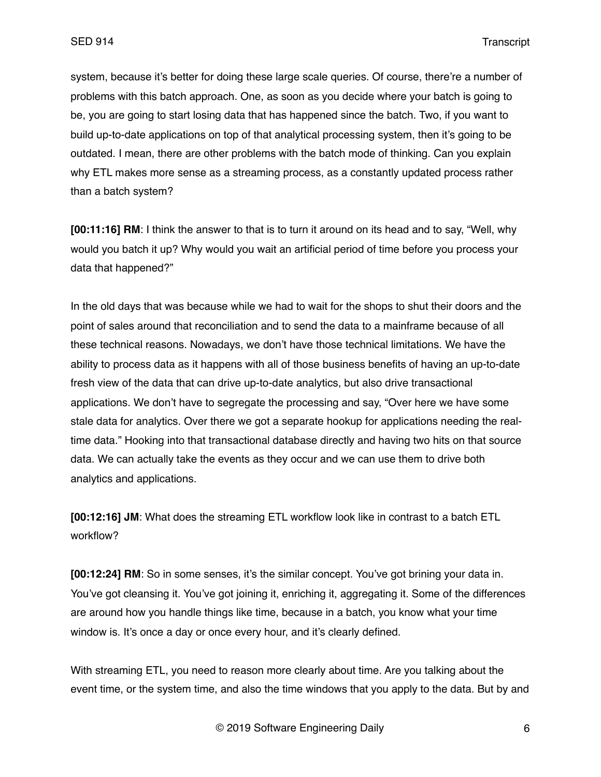system, because it's better for doing these large scale queries. Of course, there're a number of problems with this batch approach. One, as soon as you decide where your batch is going to be, you are going to start losing data that has happened since the batch. Two, if you want to build up-to-date applications on top of that analytical processing system, then it's going to be outdated. I mean, there are other problems with the batch mode of thinking. Can you explain why ETL makes more sense as a streaming process, as a constantly updated process rather than a batch system?

**[00:11:16] RM**: I think the answer to that is to turn it around on its head and to say, "Well, why would you batch it up? Why would you wait an artificial period of time before you process your data that happened?"

In the old days that was because while we had to wait for the shops to shut their doors and the point of sales around that reconciliation and to send the data to a mainframe because of all these technical reasons. Nowadays, we don't have those technical limitations. We have the ability to process data as it happens with all of those business benefits of having an up-to-date fresh view of the data that can drive up-to-date analytics, but also drive transactional applications. We don't have to segregate the processing and say, "Over here we have some stale data for analytics. Over there we got a separate hookup for applications needing the realtime data." Hooking into that transactional database directly and having two hits on that source data. We can actually take the events as they occur and we can use them to drive both analytics and applications.

**[00:12:16] JM**: What does the streaming ETL workflow look like in contrast to a batch ETL workflow?

**[00:12:24] RM**: So in some senses, it's the similar concept. You've got brining your data in. You've got cleansing it. You've got joining it, enriching it, aggregating it. Some of the differences are around how you handle things like time, because in a batch, you know what your time window is. It's once a day or once every hour, and it's clearly defined.

With streaming ETL, you need to reason more clearly about time. Are you talking about the event time, or the system time, and also the time windows that you apply to the data. But by and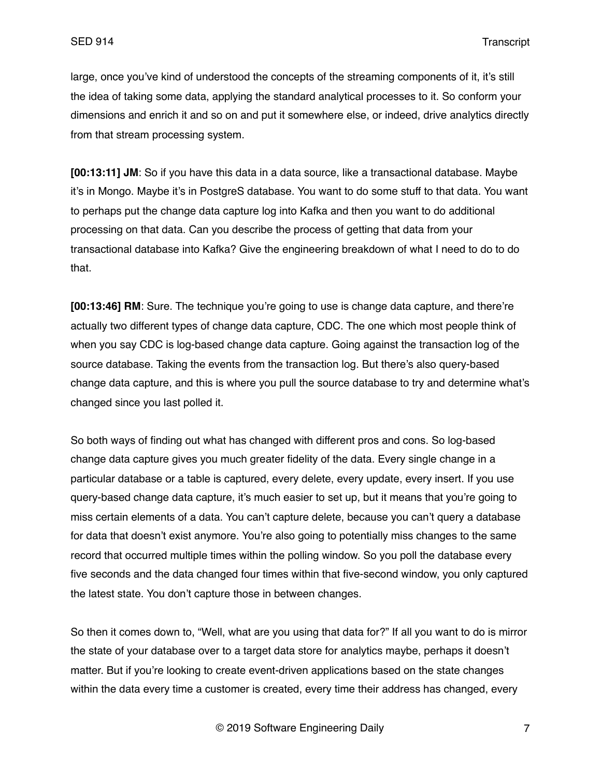large, once you've kind of understood the concepts of the streaming components of it, it's still the idea of taking some data, applying the standard analytical processes to it. So conform your dimensions and enrich it and so on and put it somewhere else, or indeed, drive analytics directly from that stream processing system.

**[00:13:11] JM**: So if you have this data in a data source, like a transactional database. Maybe it's in Mongo. Maybe it's in PostgreS database. You want to do some stuff to that data. You want to perhaps put the change data capture log into Kafka and then you want to do additional processing on that data. Can you describe the process of getting that data from your transactional database into Kafka? Give the engineering breakdown of what I need to do to do that.

**[00:13:46] RM**: Sure. The technique you're going to use is change data capture, and there're actually two different types of change data capture, CDC. The one which most people think of when you say CDC is log-based change data capture. Going against the transaction log of the source database. Taking the events from the transaction log. But there's also query-based change data capture, and this is where you pull the source database to try and determine what's changed since you last polled it.

So both ways of finding out what has changed with different pros and cons. So log-based change data capture gives you much greater fidelity of the data. Every single change in a particular database or a table is captured, every delete, every update, every insert. If you use query-based change data capture, it's much easier to set up, but it means that you're going to miss certain elements of a data. You can't capture delete, because you can't query a database for data that doesn't exist anymore. You're also going to potentially miss changes to the same record that occurred multiple times within the polling window. So you poll the database every five seconds and the data changed four times within that five-second window, you only captured the latest state. You don't capture those in between changes.

So then it comes down to, "Well, what are you using that data for?" If all you want to do is mirror the state of your database over to a target data store for analytics maybe, perhaps it doesn't matter. But if you're looking to create event-driven applications based on the state changes within the data every time a customer is created, every time their address has changed, every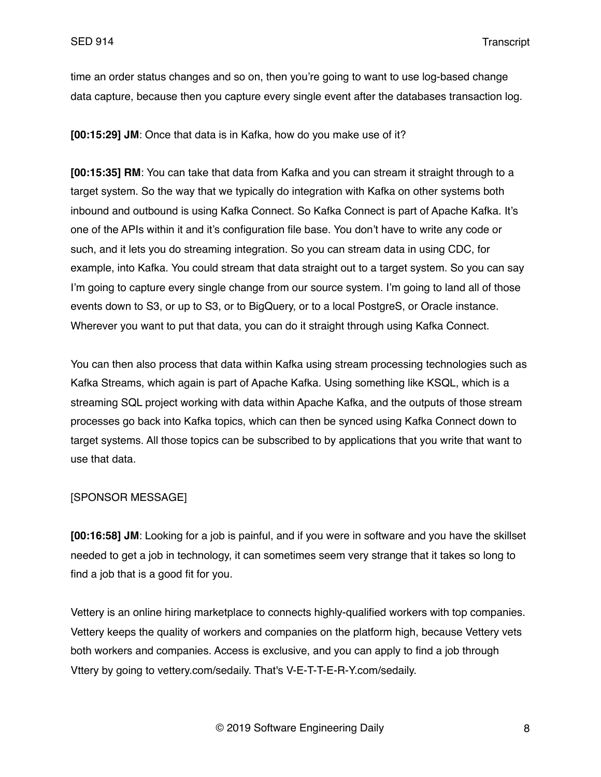time an order status changes and so on, then you're going to want to use log-based change data capture, because then you capture every single event after the databases transaction log.

**[00:15:29] JM**: Once that data is in Kafka, how do you make use of it?

**[00:15:35] RM**: You can take that data from Kafka and you can stream it straight through to a target system. So the way that we typically do integration with Kafka on other systems both inbound and outbound is using Kafka Connect. So Kafka Connect is part of Apache Kafka. It's one of the APIs within it and it's configuration file base. You don't have to write any code or such, and it lets you do streaming integration. So you can stream data in using CDC, for example, into Kafka. You could stream that data straight out to a target system. So you can say I'm going to capture every single change from our source system. I'm going to land all of those events down to S3, or up to S3, or to BigQuery, or to a local PostgreS, or Oracle instance. Wherever you want to put that data, you can do it straight through using Kafka Connect.

You can then also process that data within Kafka using stream processing technologies such as Kafka Streams, which again is part of Apache Kafka. Using something like KSQL, which is a streaming SQL project working with data within Apache Kafka, and the outputs of those stream processes go back into Kafka topics, which can then be synced using Kafka Connect down to target systems. All those topics can be subscribed to by applications that you write that want to use that data.

## [SPONSOR MESSAGE]

**[00:16:58] JM**: Looking for a job is painful, and if you were in software and you have the skillset needed to get a job in technology, it can sometimes seem very strange that it takes so long to find a job that is a good fit for you.

Vettery is an online hiring marketplace to connects highly-qualified workers with top companies. Vettery keeps the quality of workers and companies on the platform high, because Vettery vets both workers and companies. Access is exclusive, and you can apply to find a job through Vttery by going to vettery.com/sedaily. That's V-E-T-T-E-R-Y.com/sedaily.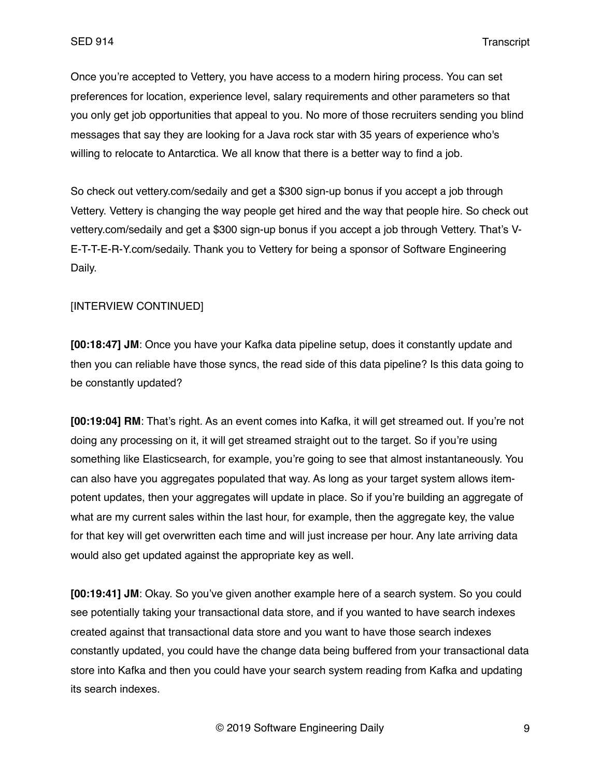Once you're accepted to Vettery, you have access to a modern hiring process. You can set preferences for location, experience level, salary requirements and other parameters so that you only get job opportunities that appeal to you. No more of those recruiters sending you blind messages that say they are looking for a Java rock star with 35 years of experience who's willing to relocate to Antarctica. We all know that there is a better way to find a job.

So check out vettery.com/sedaily and get a \$300 sign-up bonus if you accept a job through Vettery. Vettery is changing the way people get hired and the way that people hire. So check out vettery.com/sedaily and get a \$300 sign-up bonus if you accept a job through Vettery. That's V-E-T-T-E-R-Y.com/sedaily. Thank you to Vettery for being a sponsor of Software Engineering Daily.

### [INTERVIEW CONTINUED]

**[00:18:47] JM**: Once you have your Kafka data pipeline setup, does it constantly update and then you can reliable have those syncs, the read side of this data pipeline? Is this data going to be constantly updated?

**[00:19:04] RM**: That's right. As an event comes into Kafka, it will get streamed out. If you're not doing any processing on it, it will get streamed straight out to the target. So if you're using something like Elasticsearch, for example, you're going to see that almost instantaneously. You can also have you aggregates populated that way. As long as your target system allows itempotent updates, then your aggregates will update in place. So if you're building an aggregate of what are my current sales within the last hour, for example, then the aggregate key, the value for that key will get overwritten each time and will just increase per hour. Any late arriving data would also get updated against the appropriate key as well.

**[00:19:41] JM**: Okay. So you've given another example here of a search system. So you could see potentially taking your transactional data store, and if you wanted to have search indexes created against that transactional data store and you want to have those search indexes constantly updated, you could have the change data being buffered from your transactional data store into Kafka and then you could have your search system reading from Kafka and updating its search indexes.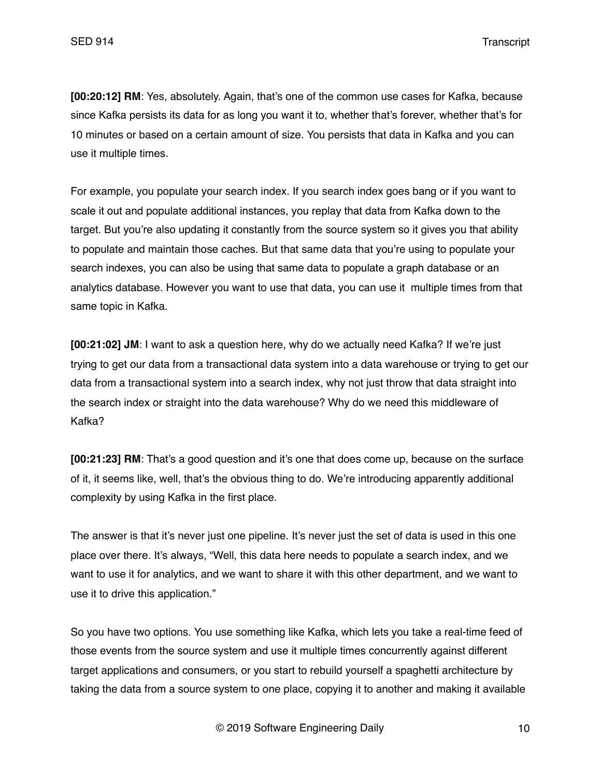**[00:20:12] RM**: Yes, absolutely. Again, that's one of the common use cases for Kafka, because since Kafka persists its data for as long you want it to, whether that's forever, whether that's for 10 minutes or based on a certain amount of size. You persists that data in Kafka and you can use it multiple times.

For example, you populate your search index. If you search index goes bang or if you want to scale it out and populate additional instances, you replay that data from Kafka down to the target. But you're also updating it constantly from the source system so it gives you that ability to populate and maintain those caches. But that same data that you're using to populate your search indexes, you can also be using that same data to populate a graph database or an analytics database. However you want to use that data, you can use it multiple times from that same topic in Kafka.

**[00:21:02] JM**: I want to ask a question here, why do we actually need Kafka? If we're just trying to get our data from a transactional data system into a data warehouse or trying to get our data from a transactional system into a search index, why not just throw that data straight into the search index or straight into the data warehouse? Why do we need this middleware of Kafka?

**[00:21:23] RM**: That's a good question and it's one that does come up, because on the surface of it, it seems like, well, that's the obvious thing to do. We're introducing apparently additional complexity by using Kafka in the first place.

The answer is that it's never just one pipeline. It's never just the set of data is used in this one place over there. It's always, "Well, this data here needs to populate a search index, and we want to use it for analytics, and we want to share it with this other department, and we want to use it to drive this application."

So you have two options. You use something like Kafka, which lets you take a real-time feed of those events from the source system and use it multiple times concurrently against different target applications and consumers, or you start to rebuild yourself a spaghetti architecture by taking the data from a source system to one place, copying it to another and making it available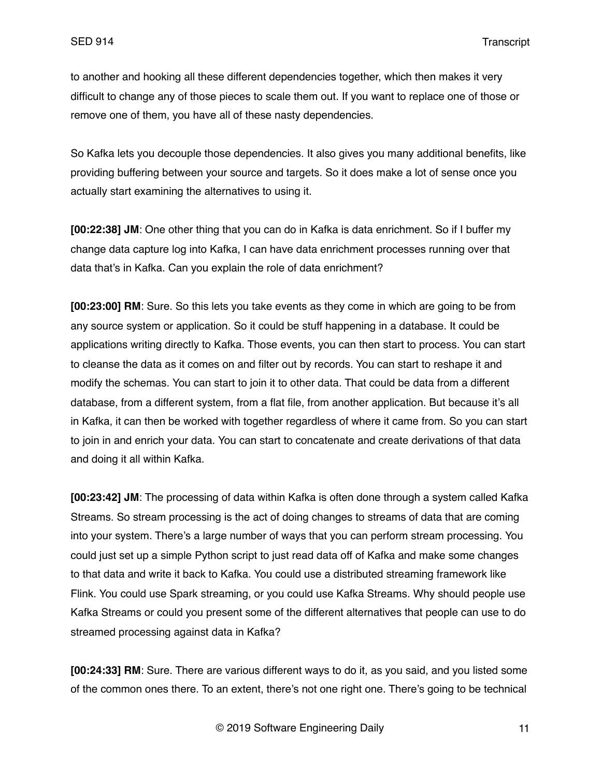to another and hooking all these different dependencies together, which then makes it very difficult to change any of those pieces to scale them out. If you want to replace one of those or remove one of them, you have all of these nasty dependencies.

So Kafka lets you decouple those dependencies. It also gives you many additional benefits, like providing buffering between your source and targets. So it does make a lot of sense once you actually start examining the alternatives to using it.

**[00:22:38] JM**: One other thing that you can do in Kafka is data enrichment. So if I buffer my change data capture log into Kafka, I can have data enrichment processes running over that data that's in Kafka. Can you explain the role of data enrichment?

**[00:23:00] RM**: Sure. So this lets you take events as they come in which are going to be from any source system or application. So it could be stuff happening in a database. It could be applications writing directly to Kafka. Those events, you can then start to process. You can start to cleanse the data as it comes on and filter out by records. You can start to reshape it and modify the schemas. You can start to join it to other data. That could be data from a different database, from a different system, from a flat file, from another application. But because it's all in Kafka, it can then be worked with together regardless of where it came from. So you can start to join in and enrich your data. You can start to concatenate and create derivations of that data and doing it all within Kafka.

**[00:23:42] JM**: The processing of data within Kafka is often done through a system called Kafka Streams. So stream processing is the act of doing changes to streams of data that are coming into your system. There's a large number of ways that you can perform stream processing. You could just set up a simple Python script to just read data off of Kafka and make some changes to that data and write it back to Kafka. You could use a distributed streaming framework like Flink. You could use Spark streaming, or you could use Kafka Streams. Why should people use Kafka Streams or could you present some of the different alternatives that people can use to do streamed processing against data in Kafka?

**[00:24:33] RM**: Sure. There are various different ways to do it, as you said, and you listed some of the common ones there. To an extent, there's not one right one. There's going to be technical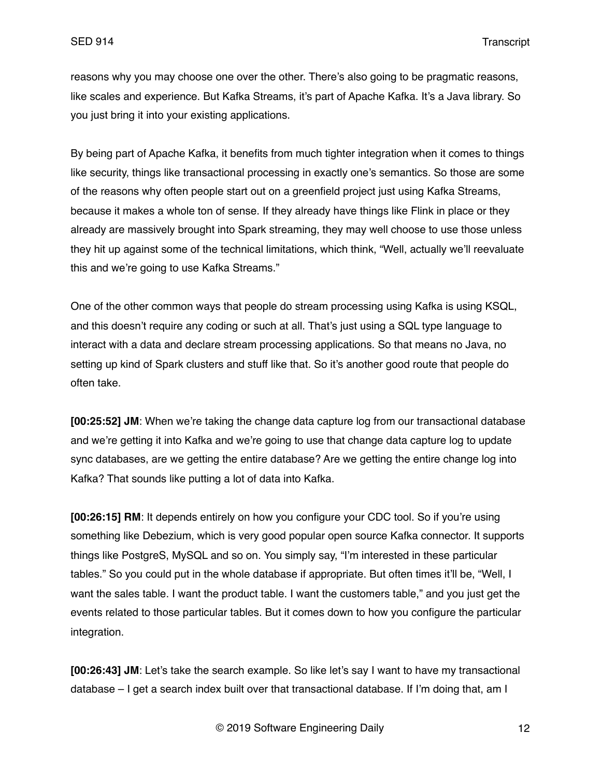reasons why you may choose one over the other. There's also going to be pragmatic reasons, like scales and experience. But Kafka Streams, it's part of Apache Kafka. It's a Java library. So you just bring it into your existing applications.

By being part of Apache Kafka, it benefits from much tighter integration when it comes to things like security, things like transactional processing in exactly one's semantics. So those are some of the reasons why often people start out on a greenfield project just using Kafka Streams, because it makes a whole ton of sense. If they already have things like Flink in place or they already are massively brought into Spark streaming, they may well choose to use those unless they hit up against some of the technical limitations, which think, "Well, actually we'll reevaluate this and we're going to use Kafka Streams."

One of the other common ways that people do stream processing using Kafka is using KSQL, and this doesn't require any coding or such at all. That's just using a SQL type language to interact with a data and declare stream processing applications. So that means no Java, no setting up kind of Spark clusters and stuff like that. So it's another good route that people do often take.

**[00:25:52] JM**: When we're taking the change data capture log from our transactional database and we're getting it into Kafka and we're going to use that change data capture log to update sync databases, are we getting the entire database? Are we getting the entire change log into Kafka? That sounds like putting a lot of data into Kafka.

**[00:26:15] RM**: It depends entirely on how you configure your CDC tool. So if you're using something like Debezium, which is very good popular open source Kafka connector. It supports things like PostgreS, MySQL and so on. You simply say, "I'm interested in these particular tables." So you could put in the whole database if appropriate. But often times it'll be, "Well, I want the sales table. I want the product table. I want the customers table," and you just get the events related to those particular tables. But it comes down to how you configure the particular integration.

**[00:26:43] JM**: Let's take the search example. So like let's say I want to have my transactional database – I get a search index built over that transactional database. If I'm doing that, am I

© 2019 Software Engineering Daily 12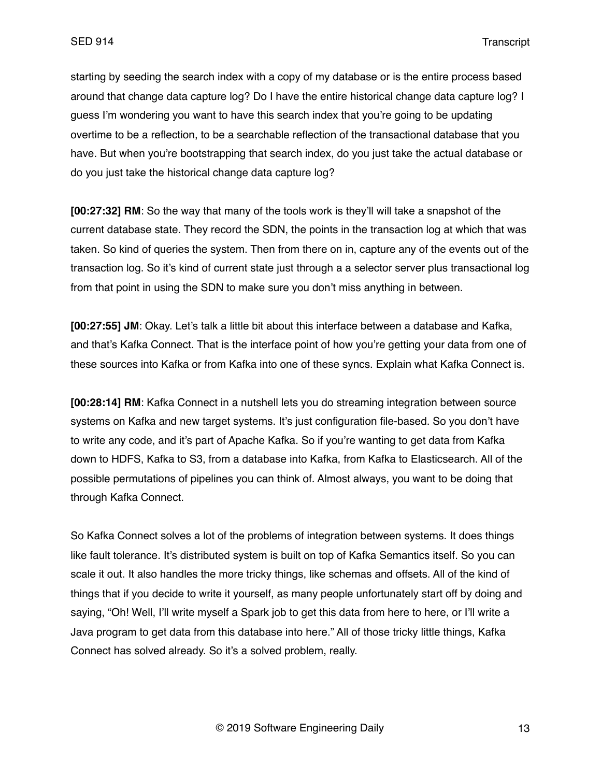starting by seeding the search index with a copy of my database or is the entire process based around that change data capture log? Do I have the entire historical change data capture log? I guess I'm wondering you want to have this search index that you're going to be updating overtime to be a reflection, to be a searchable reflection of the transactional database that you have. But when you're bootstrapping that search index, do you just take the actual database or do you just take the historical change data capture log?

**[00:27:32] RM**: So the way that many of the tools work is they'll will take a snapshot of the current database state. They record the SDN, the points in the transaction log at which that was taken. So kind of queries the system. Then from there on in, capture any of the events out of the transaction log. So it's kind of current state just through a a selector server plus transactional log from that point in using the SDN to make sure you don't miss anything in between.

**[00:27:55] JM**: Okay. Let's talk a little bit about this interface between a database and Kafka, and that's Kafka Connect. That is the interface point of how you're getting your data from one of these sources into Kafka or from Kafka into one of these syncs. Explain what Kafka Connect is.

**[00:28:14] RM**: Kafka Connect in a nutshell lets you do streaming integration between source systems on Kafka and new target systems. It's just configuration file-based. So you don't have to write any code, and it's part of Apache Kafka. So if you're wanting to get data from Kafka down to HDFS, Kafka to S3, from a database into Kafka, from Kafka to Elasticsearch. All of the possible permutations of pipelines you can think of. Almost always, you want to be doing that through Kafka Connect.

So Kafka Connect solves a lot of the problems of integration between systems. It does things like fault tolerance. It's distributed system is built on top of Kafka Semantics itself. So you can scale it out. It also handles the more tricky things, like schemas and offsets. All of the kind of things that if you decide to write it yourself, as many people unfortunately start off by doing and saying, "Oh! Well, I'll write myself a Spark job to get this data from here to here, or I'll write a Java program to get data from this database into here." All of those tricky little things, Kafka Connect has solved already. So it's a solved problem, really.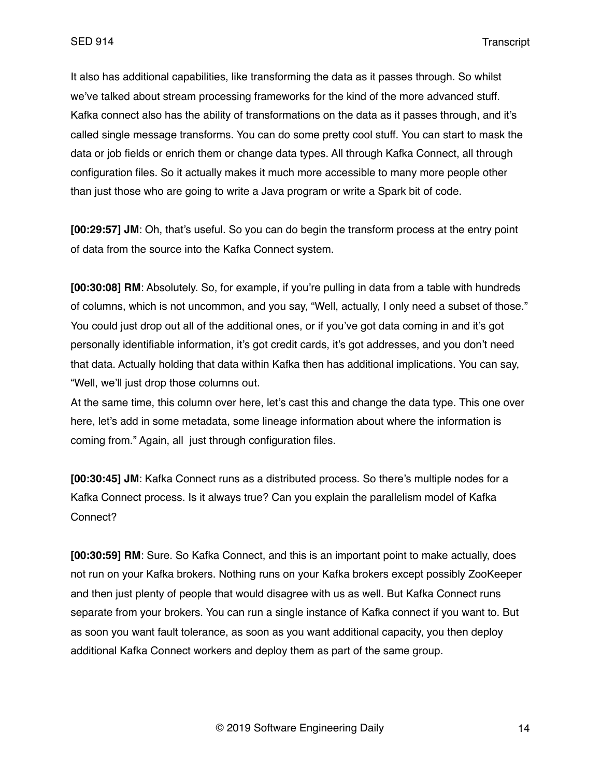It also has additional capabilities, like transforming the data as it passes through. So whilst we've talked about stream processing frameworks for the kind of the more advanced stuff. Kafka connect also has the ability of transformations on the data as it passes through, and it's called single message transforms. You can do some pretty cool stuff. You can start to mask the data or job fields or enrich them or change data types. All through Kafka Connect, all through configuration files. So it actually makes it much more accessible to many more people other than just those who are going to write a Java program or write a Spark bit of code.

**[00:29:57] JM**: Oh, that's useful. So you can do begin the transform process at the entry point of data from the source into the Kafka Connect system.

**[00:30:08] RM**: Absolutely. So, for example, if you're pulling in data from a table with hundreds of columns, which is not uncommon, and you say, "Well, actually, I only need a subset of those." You could just drop out all of the additional ones, or if you've got data coming in and it's got personally identifiable information, it's got credit cards, it's got addresses, and you don't need that data. Actually holding that data within Kafka then has additional implications. You can say, "Well, we'll just drop those columns out.

At the same time, this column over here, let's cast this and change the data type. This one over here, let's add in some metadata, some lineage information about where the information is coming from." Again, all just through configuration files.

**[00:30:45] JM**: Kafka Connect runs as a distributed process. So there's multiple nodes for a Kafka Connect process. Is it always true? Can you explain the parallelism model of Kafka Connect?

**[00:30:59] RM**: Sure. So Kafka Connect, and this is an important point to make actually, does not run on your Kafka brokers. Nothing runs on your Kafka brokers except possibly ZooKeeper and then just plenty of people that would disagree with us as well. But Kafka Connect runs separate from your brokers. You can run a single instance of Kafka connect if you want to. But as soon you want fault tolerance, as soon as you want additional capacity, you then deploy additional Kafka Connect workers and deploy them as part of the same group.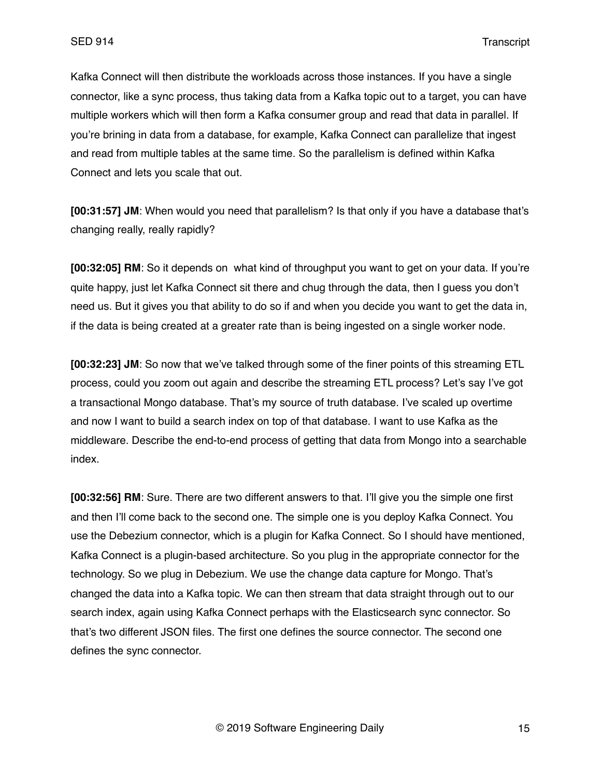Kafka Connect will then distribute the workloads across those instances. If you have a single connector, like a sync process, thus taking data from a Kafka topic out to a target, you can have multiple workers which will then form a Kafka consumer group and read that data in parallel. If you're brining in data from a database, for example, Kafka Connect can parallelize that ingest and read from multiple tables at the same time. So the parallelism is defined within Kafka Connect and lets you scale that out.

**[00:31:57] JM**: When would you need that parallelism? Is that only if you have a database that's changing really, really rapidly?

**[00:32:05] RM**: So it depends on what kind of throughput you want to get on your data. If you're quite happy, just let Kafka Connect sit there and chug through the data, then I guess you don't need us. But it gives you that ability to do so if and when you decide you want to get the data in, if the data is being created at a greater rate than is being ingested on a single worker node.

**[00:32:23] JM**: So now that we've talked through some of the finer points of this streaming ETL process, could you zoom out again and describe the streaming ETL process? Let's say I've got a transactional Mongo database. That's my source of truth database. I've scaled up overtime and now I want to build a search index on top of that database. I want to use Kafka as the middleware. Describe the end-to-end process of getting that data from Mongo into a searchable index.

**[00:32:56] RM**: Sure. There are two different answers to that. I'll give you the simple one first and then I'll come back to the second one. The simple one is you deploy Kafka Connect. You use the Debezium connector, which is a plugin for Kafka Connect. So I should have mentioned, Kafka Connect is a plugin-based architecture. So you plug in the appropriate connector for the technology. So we plug in Debezium. We use the change data capture for Mongo. That's changed the data into a Kafka topic. We can then stream that data straight through out to our search index, again using Kafka Connect perhaps with the Elasticsearch sync connector. So that's two different JSON files. The first one defines the source connector. The second one defines the sync connector.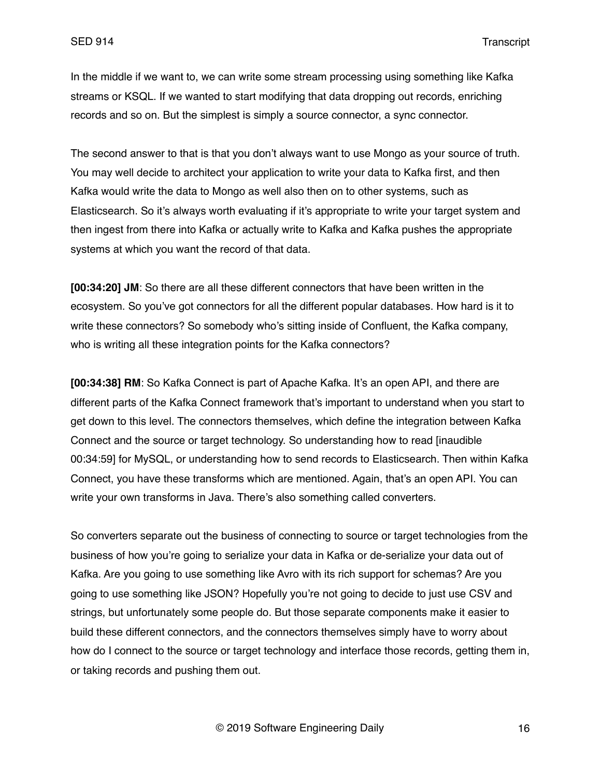In the middle if we want to, we can write some stream processing using something like Kafka streams or KSQL. If we wanted to start modifying that data dropping out records, enriching records and so on. But the simplest is simply a source connector, a sync connector.

The second answer to that is that you don't always want to use Mongo as your source of truth. You may well decide to architect your application to write your data to Kafka first, and then Kafka would write the data to Mongo as well also then on to other systems, such as Elasticsearch. So it's always worth evaluating if it's appropriate to write your target system and then ingest from there into Kafka or actually write to Kafka and Kafka pushes the appropriate systems at which you want the record of that data.

**[00:34:20] JM**: So there are all these different connectors that have been written in the ecosystem. So you've got connectors for all the different popular databases. How hard is it to write these connectors? So somebody who's sitting inside of Confluent, the Kafka company, who is writing all these integration points for the Kafka connectors?

**[00:34:38] RM**: So Kafka Connect is part of Apache Kafka. It's an open API, and there are different parts of the Kafka Connect framework that's important to understand when you start to get down to this level. The connectors themselves, which define the integration between Kafka Connect and the source or target technology. So understanding how to read [inaudible 00:34:59] for MySQL, or understanding how to send records to Elasticsearch. Then within Kafka Connect, you have these transforms which are mentioned. Again, that's an open API. You can write your own transforms in Java. There's also something called converters.

So converters separate out the business of connecting to source or target technologies from the business of how you're going to serialize your data in Kafka or de-serialize your data out of Kafka. Are you going to use something like Avro with its rich support for schemas? Are you going to use something like JSON? Hopefully you're not going to decide to just use CSV and strings, but unfortunately some people do. But those separate components make it easier to build these different connectors, and the connectors themselves simply have to worry about how do I connect to the source or target technology and interface those records, getting them in, or taking records and pushing them out.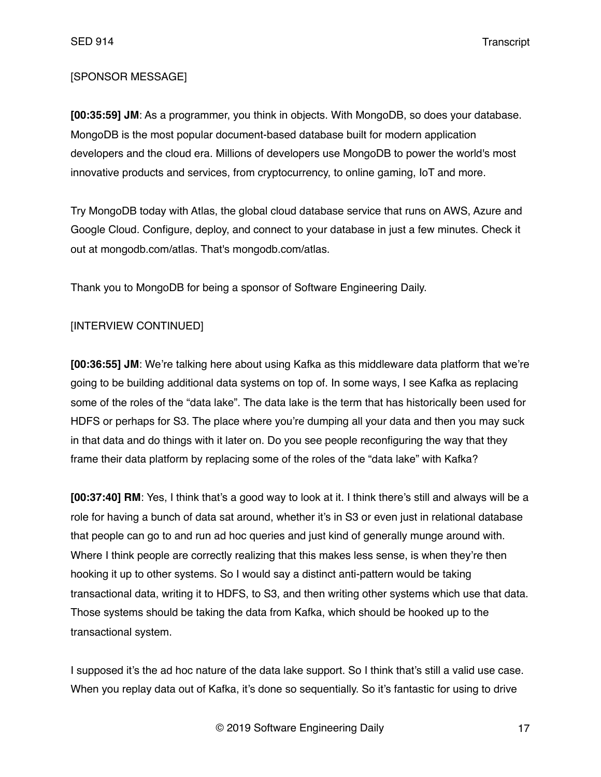## [SPONSOR MESSAGE]

**[00:35:59] JM**: As a programmer, you think in objects. With MongoDB, so does your database. MongoDB is the most popular document-based database built for modern application developers and the cloud era. Millions of developers use MongoDB to power the world's most innovative products and services, from cryptocurrency, to online gaming, IoT and more.

Try MongoDB today with Atlas, the global cloud database service that runs on AWS, Azure and Google Cloud. Configure, deploy, and connect to your database in just a few minutes. Check it out at mongodb.com/atlas. That's mongodb.com/atlas.

Thank you to MongoDB for being a sponsor of Software Engineering Daily.

# [INTERVIEW CONTINUED]

**[00:36:55] JM**: We're talking here about using Kafka as this middleware data platform that we're going to be building additional data systems on top of. In some ways, I see Kafka as replacing some of the roles of the "data lake". The data lake is the term that has historically been used for HDFS or perhaps for S3. The place where you're dumping all your data and then you may suck in that data and do things with it later on. Do you see people reconfiguring the way that they frame their data platform by replacing some of the roles of the "data lake" with Kafka?

**[00:37:40] RM**: Yes, I think that's a good way to look at it. I think there's still and always will be a role for having a bunch of data sat around, whether it's in S3 or even just in relational database that people can go to and run ad hoc queries and just kind of generally munge around with. Where I think people are correctly realizing that this makes less sense, is when they're then hooking it up to other systems. So I would say a distinct anti-pattern would be taking transactional data, writing it to HDFS, to S3, and then writing other systems which use that data. Those systems should be taking the data from Kafka, which should be hooked up to the transactional system.

I supposed it's the ad hoc nature of the data lake support. So I think that's still a valid use case. When you replay data out of Kafka, it's done so sequentially. So it's fantastic for using to drive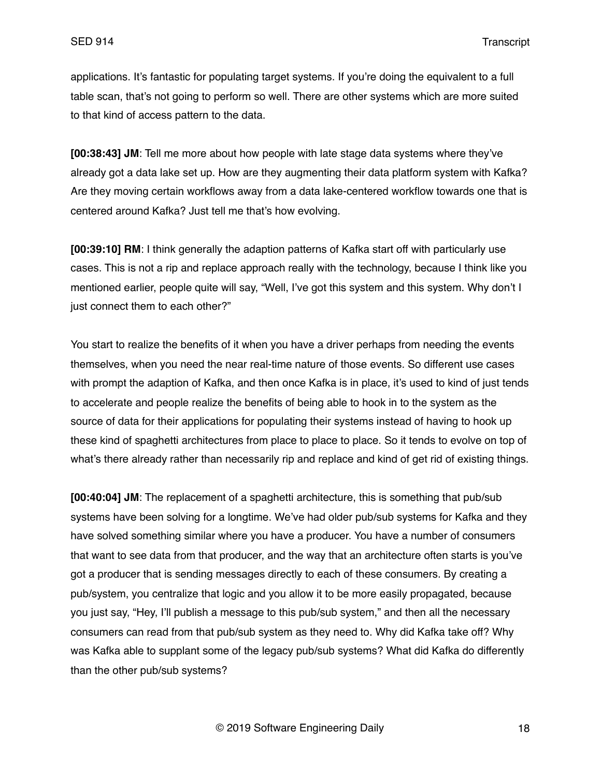applications. It's fantastic for populating target systems. If you're doing the equivalent to a full table scan, that's not going to perform so well. There are other systems which are more suited to that kind of access pattern to the data.

**[00:38:43] JM**: Tell me more about how people with late stage data systems where they've already got a data lake set up. How are they augmenting their data platform system with Kafka? Are they moving certain workflows away from a data lake-centered workflow towards one that is centered around Kafka? Just tell me that's how evolving.

**[00:39:10] RM**: I think generally the adaption patterns of Kafka start off with particularly use cases. This is not a rip and replace approach really with the technology, because I think like you mentioned earlier, people quite will say, "Well, I've got this system and this system. Why don't I just connect them to each other?"

You start to realize the benefits of it when you have a driver perhaps from needing the events themselves, when you need the near real-time nature of those events. So different use cases with prompt the adaption of Kafka, and then once Kafka is in place, it's used to kind of just tends to accelerate and people realize the benefits of being able to hook in to the system as the source of data for their applications for populating their systems instead of having to hook up these kind of spaghetti architectures from place to place to place. So it tends to evolve on top of what's there already rather than necessarily rip and replace and kind of get rid of existing things.

**[00:40:04] JM**: The replacement of a spaghetti architecture, this is something that pub/sub systems have been solving for a longtime. We've had older pub/sub systems for Kafka and they have solved something similar where you have a producer. You have a number of consumers that want to see data from that producer, and the way that an architecture often starts is you've got a producer that is sending messages directly to each of these consumers. By creating a pub/system, you centralize that logic and you allow it to be more easily propagated, because you just say, "Hey, I'll publish a message to this pub/sub system," and then all the necessary consumers can read from that pub/sub system as they need to. Why did Kafka take off? Why was Kafka able to supplant some of the legacy pub/sub systems? What did Kafka do differently than the other pub/sub systems?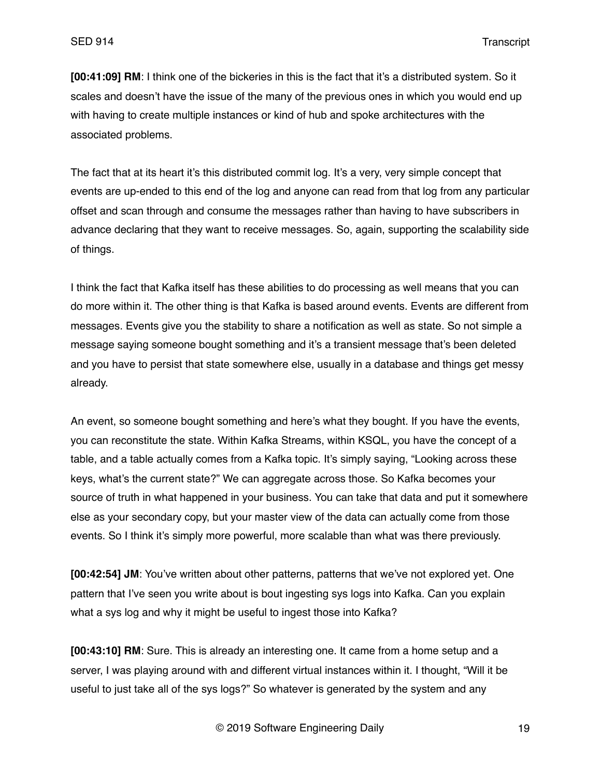**[00:41:09] RM**: I think one of the bickeries in this is the fact that it's a distributed system. So it scales and doesn't have the issue of the many of the previous ones in which you would end up with having to create multiple instances or kind of hub and spoke architectures with the associated problems.

The fact that at its heart it's this distributed commit log. It's a very, very simple concept that events are up-ended to this end of the log and anyone can read from that log from any particular offset and scan through and consume the messages rather than having to have subscribers in advance declaring that they want to receive messages. So, again, supporting the scalability side of things.

I think the fact that Kafka itself has these abilities to do processing as well means that you can do more within it. The other thing is that Kafka is based around events. Events are different from messages. Events give you the stability to share a notification as well as state. So not simple a message saying someone bought something and it's a transient message that's been deleted and you have to persist that state somewhere else, usually in a database and things get messy already.

An event, so someone bought something and here's what they bought. If you have the events, you can reconstitute the state. Within Kafka Streams, within KSQL, you have the concept of a table, and a table actually comes from a Kafka topic. It's simply saying, "Looking across these keys, what's the current state?" We can aggregate across those. So Kafka becomes your source of truth in what happened in your business. You can take that data and put it somewhere else as your secondary copy, but your master view of the data can actually come from those events. So I think it's simply more powerful, more scalable than what was there previously.

**[00:42:54] JM**: You've written about other patterns, patterns that we've not explored yet. One pattern that I've seen you write about is bout ingesting sys logs into Kafka. Can you explain what a sys log and why it might be useful to ingest those into Kafka?

**[00:43:10] RM**: Sure. This is already an interesting one. It came from a home setup and a server, I was playing around with and different virtual instances within it. I thought, "Will it be useful to just take all of the sys logs?" So whatever is generated by the system and any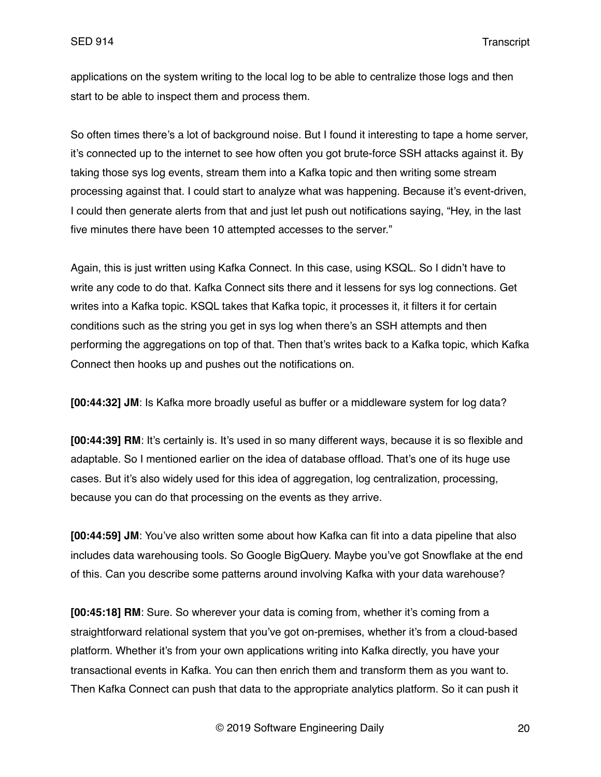applications on the system writing to the local log to be able to centralize those logs and then start to be able to inspect them and process them.

So often times there's a lot of background noise. But I found it interesting to tape a home server, it's connected up to the internet to see how often you got brute-force SSH attacks against it. By taking those sys log events, stream them into a Kafka topic and then writing some stream processing against that. I could start to analyze what was happening. Because it's event-driven, I could then generate alerts from that and just let push out notifications saying, "Hey, in the last five minutes there have been 10 attempted accesses to the server."

Again, this is just written using Kafka Connect. In this case, using KSQL. So I didn't have to write any code to do that. Kafka Connect sits there and it lessens for sys log connections. Get writes into a Kafka topic. KSQL takes that Kafka topic, it processes it, it filters it for certain conditions such as the string you get in sys log when there's an SSH attempts and then performing the aggregations on top of that. Then that's writes back to a Kafka topic, which Kafka Connect then hooks up and pushes out the notifications on.

**[00:44:32] JM**: Is Kafka more broadly useful as buffer or a middleware system for log data?

**[00:44:39] RM**: It's certainly is. It's used in so many different ways, because it is so flexible and adaptable. So I mentioned earlier on the idea of database offload. That's one of its huge use cases. But it's also widely used for this idea of aggregation, log centralization, processing, because you can do that processing on the events as they arrive.

**[00:44:59] JM**: You've also written some about how Kafka can fit into a data pipeline that also includes data warehousing tools. So Google BigQuery. Maybe you've got Snowflake at the end of this. Can you describe some patterns around involving Kafka with your data warehouse?

**[00:45:18] RM**: Sure. So wherever your data is coming from, whether it's coming from a straightforward relational system that you've got on-premises, whether it's from a cloud-based platform. Whether it's from your own applications writing into Kafka directly, you have your transactional events in Kafka. You can then enrich them and transform them as you want to. Then Kafka Connect can push that data to the appropriate analytics platform. So it can push it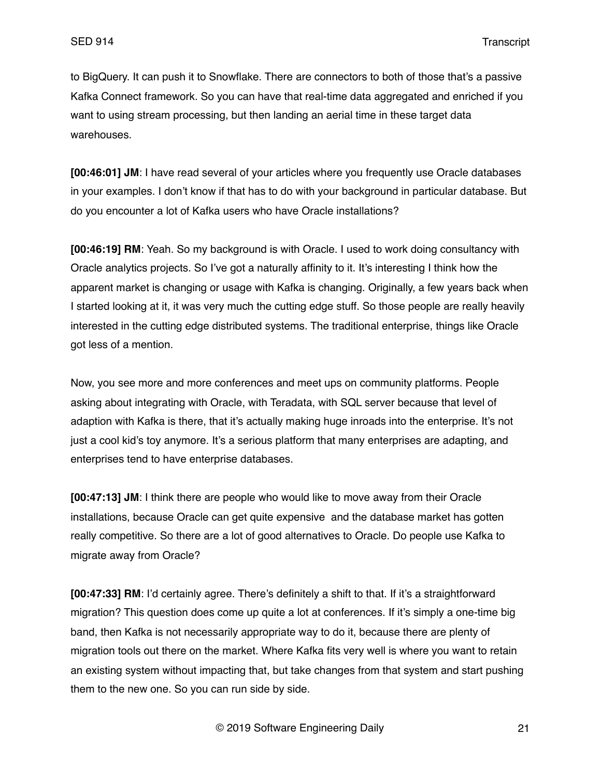to BigQuery. It can push it to Snowflake. There are connectors to both of those that's a passive Kafka Connect framework. So you can have that real-time data aggregated and enriched if you want to using stream processing, but then landing an aerial time in these target data warehouses.

**[00:46:01] JM**: I have read several of your articles where you frequently use Oracle databases in your examples. I don't know if that has to do with your background in particular database. But do you encounter a lot of Kafka users who have Oracle installations?

**[00:46:19] RM**: Yeah. So my background is with Oracle. I used to work doing consultancy with Oracle analytics projects. So I've got a naturally affinity to it. It's interesting I think how the apparent market is changing or usage with Kafka is changing. Originally, a few years back when I started looking at it, it was very much the cutting edge stuff. So those people are really heavily interested in the cutting edge distributed systems. The traditional enterprise, things like Oracle got less of a mention.

Now, you see more and more conferences and meet ups on community platforms. People asking about integrating with Oracle, with Teradata, with SQL server because that level of adaption with Kafka is there, that it's actually making huge inroads into the enterprise. It's not just a cool kid's toy anymore. It's a serious platform that many enterprises are adapting, and enterprises tend to have enterprise databases.

**[00:47:13] JM**: I think there are people who would like to move away from their Oracle installations, because Oracle can get quite expensive and the database market has gotten really competitive. So there are a lot of good alternatives to Oracle. Do people use Kafka to migrate away from Oracle?

**[00:47:33] RM**: I'd certainly agree. There's definitely a shift to that. If it's a straightforward migration? This question does come up quite a lot at conferences. If it's simply a one-time big band, then Kafka is not necessarily appropriate way to do it, because there are plenty of migration tools out there on the market. Where Kafka fits very well is where you want to retain an existing system without impacting that, but take changes from that system and start pushing them to the new one. So you can run side by side.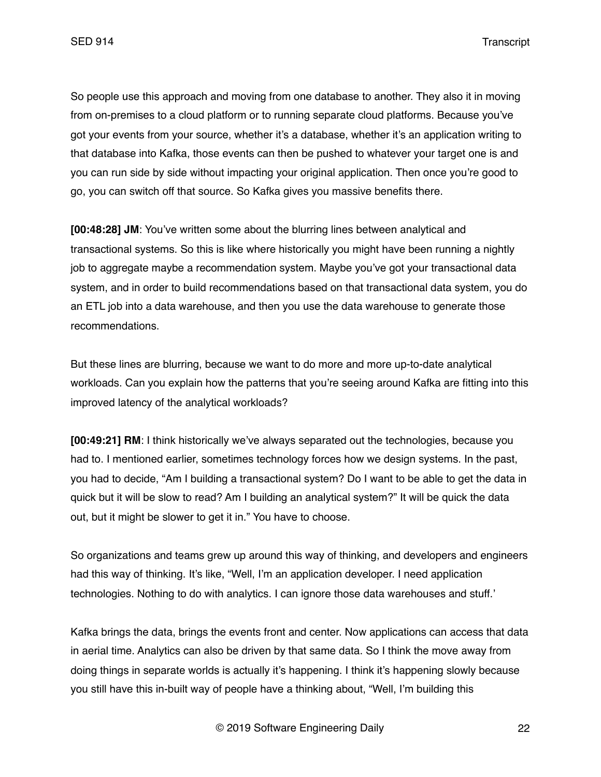So people use this approach and moving from one database to another. They also it in moving from on-premises to a cloud platform or to running separate cloud platforms. Because you've got your events from your source, whether it's a database, whether it's an application writing to that database into Kafka, those events can then be pushed to whatever your target one is and you can run side by side without impacting your original application. Then once you're good to go, you can switch off that source. So Kafka gives you massive benefits there.

**[00:48:28] JM**: You've written some about the blurring lines between analytical and transactional systems. So this is like where historically you might have been running a nightly job to aggregate maybe a recommendation system. Maybe you've got your transactional data system, and in order to build recommendations based on that transactional data system, you do an ETL job into a data warehouse, and then you use the data warehouse to generate those recommendations.

But these lines are blurring, because we want to do more and more up-to-date analytical workloads. Can you explain how the patterns that you're seeing around Kafka are fitting into this improved latency of the analytical workloads?

**[00:49:21] RM**: I think historically we've always separated out the technologies, because you had to. I mentioned earlier, sometimes technology forces how we design systems. In the past, you had to decide, "Am I building a transactional system? Do I want to be able to get the data in quick but it will be slow to read? Am I building an analytical system?" It will be quick the data out, but it might be slower to get it in." You have to choose.

So organizations and teams grew up around this way of thinking, and developers and engineers had this way of thinking. It's like, "Well, I'm an application developer. I need application technologies. Nothing to do with analytics. I can ignore those data warehouses and stuff.'

Kafka brings the data, brings the events front and center. Now applications can access that data in aerial time. Analytics can also be driven by that same data. So I think the move away from doing things in separate worlds is actually it's happening. I think it's happening slowly because you still have this in-built way of people have a thinking about, "Well, I'm building this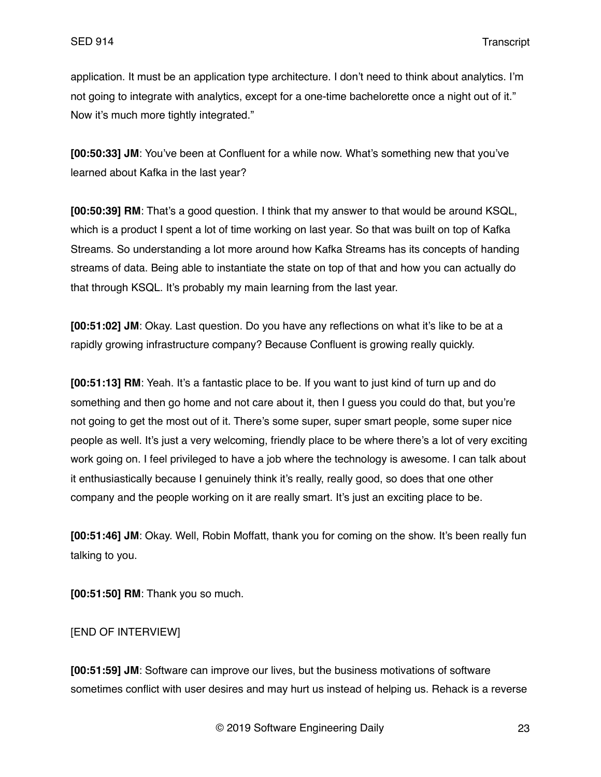application. It must be an application type architecture. I don't need to think about analytics. I'm not going to integrate with analytics, except for a one-time bachelorette once a night out of it." Now it's much more tightly integrated."

**[00:50:33] JM**: You've been at Confluent for a while now. What's something new that you've learned about Kafka in the last year?

**[00:50:39] RM**: That's a good question. I think that my answer to that would be around KSQL, which is a product I spent a lot of time working on last year. So that was built on top of Kafka Streams. So understanding a lot more around how Kafka Streams has its concepts of handing streams of data. Being able to instantiate the state on top of that and how you can actually do that through KSQL. It's probably my main learning from the last year.

**[00:51:02] JM**: Okay. Last question. Do you have any reflections on what it's like to be at a rapidly growing infrastructure company? Because Confluent is growing really quickly.

**[00:51:13] RM**: Yeah. It's a fantastic place to be. If you want to just kind of turn up and do something and then go home and not care about it, then I guess you could do that, but you're not going to get the most out of it. There's some super, super smart people, some super nice people as well. It's just a very welcoming, friendly place to be where there's a lot of very exciting work going on. I feel privileged to have a job where the technology is awesome. I can talk about it enthusiastically because I genuinely think it's really, really good, so does that one other company and the people working on it are really smart. It's just an exciting place to be.

**[00:51:46] JM**: Okay. Well, Robin Moffatt, thank you for coming on the show. It's been really fun talking to you.

**[00:51:50] RM**: Thank you so much.

[END OF INTERVIEW]

**[00:51:59] JM**: Software can improve our lives, but the business motivations of software sometimes conflict with user desires and may hurt us instead of helping us. Rehack is a reverse